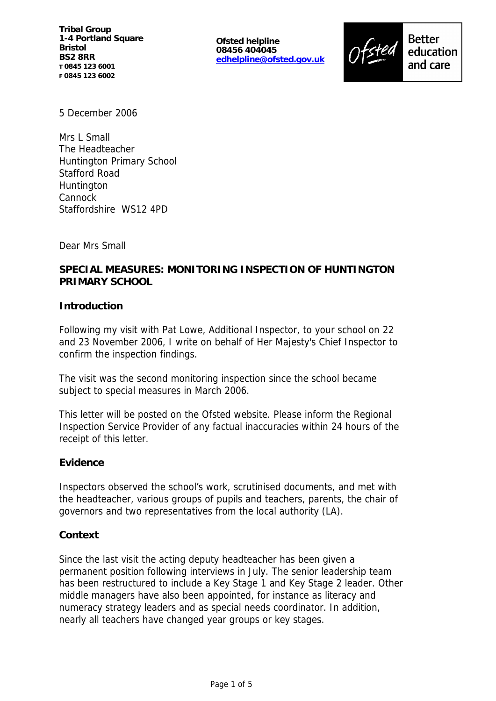**Ofsted helpline 08456 404045 edhelpline@ofsted.gov.uk**



5 December 2006

Mrs L Small The Headteacher Huntington Primary School Stafford Road **Huntington** Cannock Staffordshire WS12 4PD

Dear Mrs Small

# **SPECIAL MEASURES: MONITORING INSPECTION OF HUNTINGTON PRIMARY SCHOOL**

### **Introduction**

Following my visit with Pat Lowe, Additional Inspector, to your school on 22 and 23 November 2006, I write on behalf of Her Majesty's Chief Inspector to confirm the inspection findings.

The visit was the second monitoring inspection since the school became subject to special measures in March 2006.

This letter will be posted on the Ofsted website. Please inform the Regional Inspection Service Provider of any factual inaccuracies within 24 hours of the receipt of this letter.

### **Evidence**

Inspectors observed the school's work, scrutinised documents, and met with the headteacher, various groups of pupils and teachers, parents, the chair of governors and two representatives from the local authority (LA).

#### **Context**

Since the last visit the acting deputy headteacher has been given a permanent position following interviews in July. The senior leadership team has been restructured to include a Key Stage 1 and Key Stage 2 leader. Other middle managers have also been appointed, for instance as literacy and numeracy strategy leaders and as special needs coordinator. In addition, nearly all teachers have changed year groups or key stages.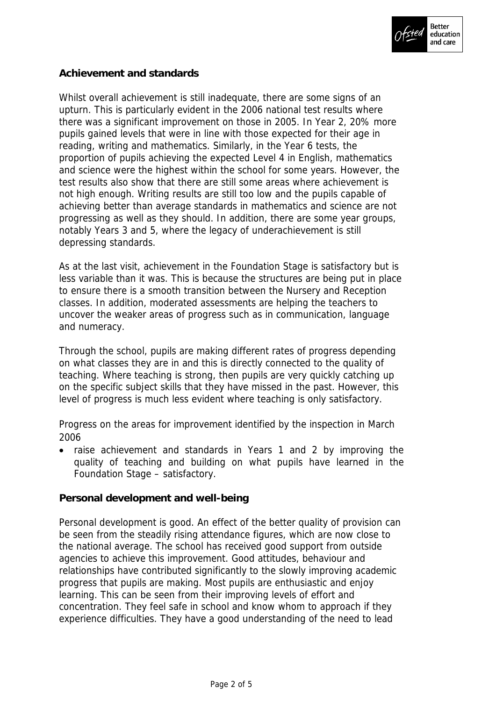

### **Achievement and standards**

Whilst overall achievement is still inadequate, there are some signs of an upturn. This is particularly evident in the 2006 national test results where there was a significant improvement on those in 2005. In Year 2, 20% more pupils gained levels that were in line with those expected for their age in reading, writing and mathematics. Similarly, in the Year 6 tests, the proportion of pupils achieving the expected Level 4 in English, mathematics and science were the highest within the school for some years. However, the test results also show that there are still some areas where achievement is not high enough. Writing results are still too low and the pupils capable of achieving better than average standards in mathematics and science are not progressing as well as they should. In addition, there are some year groups, notably Years 3 and 5, where the legacy of underachievement is still depressing standards.

As at the last visit, achievement in the Foundation Stage is satisfactory but is less variable than it was. This is because the structures are being put in place to ensure there is a smooth transition between the Nursery and Reception classes. In addition, moderated assessments are helping the teachers to uncover the weaker areas of progress such as in communication, language and numeracy.

Through the school, pupils are making different rates of progress depending on what classes they are in and this is directly connected to the quality of teaching. Where teaching is strong, then pupils are very quickly catching up on the specific subject skills that they have missed in the past. However, this level of progress is much less evident where teaching is only satisfactory.

Progress on the areas for improvement identified by the inspection in March 2006

 raise achievement and standards in Years 1 and 2 by improving the quality of teaching and building on what pupils have learned in the Foundation Stage – satisfactory.

**Personal development and well-being**

Personal development is good. An effect of the better quality of provision can be seen from the steadily rising attendance figures, which are now close to the national average. The school has received good support from outside agencies to achieve this improvement. Good attitudes, behaviour and relationships have contributed significantly to the slowly improving academic progress that pupils are making. Most pupils are enthusiastic and enjoy learning. This can be seen from their improving levels of effort and concentration. They feel safe in school and know whom to approach if they experience difficulties. They have a good understanding of the need to lead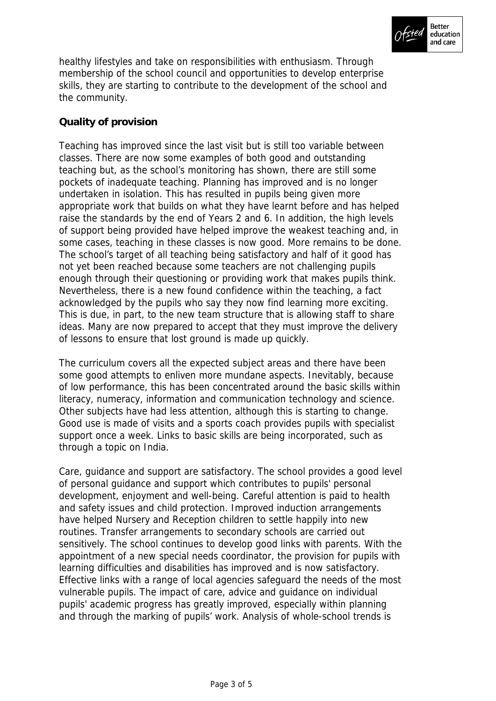

healthy lifestyles and take on responsibilities with enthusiasm. Through membership of the school council and opportunities to develop enterprise skills, they are starting to contribute to the development of the school and the community.

# **Quality of provision**

Teaching has improved since the last visit but is still too variable between classes. There are now some examples of both good and outstanding teaching but, as the school's monitoring has shown, there are still some pockets of inadequate teaching. Planning has improved and is no longer undertaken in isolation. This has resulted in pupils being given more appropriate work that builds on what they have learnt before and has helped raise the standards by the end of Years 2 and 6. In addition, the high levels of support being provided have helped improve the weakest teaching and, in some cases, teaching in these classes is now good. More remains to be done. The school's target of all teaching being satisfactory and half of it good has not yet been reached because some teachers are not challenging pupils enough through their questioning or providing work that makes pupils think. Nevertheless, there is a new found confidence within the teaching, a fact acknowledged by the pupils who say they now find learning more exciting. This is due, in part, to the new team structure that is allowing staff to share ideas. Many are now prepared to accept that they must improve the delivery of lessons to ensure that lost ground is made up quickly.

The curriculum covers all the expected subject areas and there have been some good attempts to enliven more mundane aspects. Inevitably, because of low performance, this has been concentrated around the basic skills within literacy, numeracy, information and communication technology and science. Other subjects have had less attention, although this is starting to change. Good use is made of visits and a sports coach provides pupils with specialist support once a week. Links to basic skills are being incorporated, such as through a topic on India.

Care, guidance and support are satisfactory. The school provides a good level of personal guidance and support which contributes to pupils' personal development, enjoyment and well-being. Careful attention is paid to health and safety issues and child protection. Improved induction arrangements have helped Nursery and Reception children to settle happily into new routines. Transfer arrangements to secondary schools are carried out sensitively. The school continues to develop good links with parents. With the appointment of a new special needs coordinator, the provision for pupils with learning difficulties and disabilities has improved and is now satisfactory. Effective links with a range of local agencies safeguard the needs of the most vulnerable pupils. The impact of care, advice and guidance on individual pupils' academic progress has greatly improved, especially within planning and through the marking of pupils' work. Analysis of whole-school trends is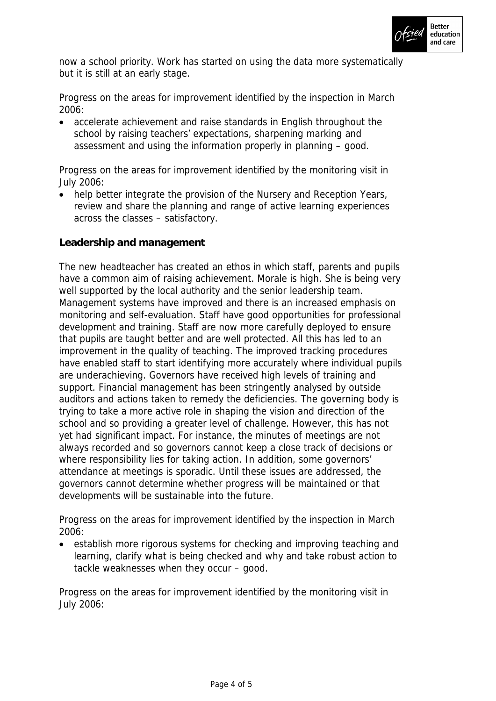

now a school priority. Work has started on using the data more systematically but it is still at an early stage.

Progress on the areas for improvement identified by the inspection in March 2006:

 accelerate achievement and raise standards in English throughout the school by raising teachers' expectations, sharpening marking and assessment and using the information properly in planning – good.

Progress on the areas for improvement identified by the monitoring visit in July 2006:

 help better integrate the provision of the Nursery and Reception Years, review and share the planning and range of active learning experiences across the classes – satisfactory.

**Leadership and management**

The new headteacher has created an ethos in which staff, parents and pupils have a common aim of raising achievement. Morale is high. She is being very well supported by the local authority and the senior leadership team. Management systems have improved and there is an increased emphasis on monitoring and self-evaluation. Staff have good opportunities for professional development and training. Staff are now more carefully deployed to ensure that pupils are taught better and are well protected. All this has led to an improvement in the quality of teaching. The improved tracking procedures have enabled staff to start identifying more accurately where individual pupils are underachieving. Governors have received high levels of training and support. Financial management has been stringently analysed by outside auditors and actions taken to remedy the deficiencies. The governing body is trying to take a more active role in shaping the vision and direction of the school and so providing a greater level of challenge. However, this has not yet had significant impact. For instance, the minutes of meetings are not always recorded and so governors cannot keep a close track of decisions or where responsibility lies for taking action. In addition, some governors' attendance at meetings is sporadic. Until these issues are addressed, the governors cannot determine whether progress will be maintained or that developments will be sustainable into the future.

Progress on the areas for improvement identified by the inspection in March 2006:

 establish more rigorous systems for checking and improving teaching and learning, clarify what is being checked and why and take robust action to tackle weaknesses when they occur – good.

Progress on the areas for improvement identified by the monitoring visit in July 2006: